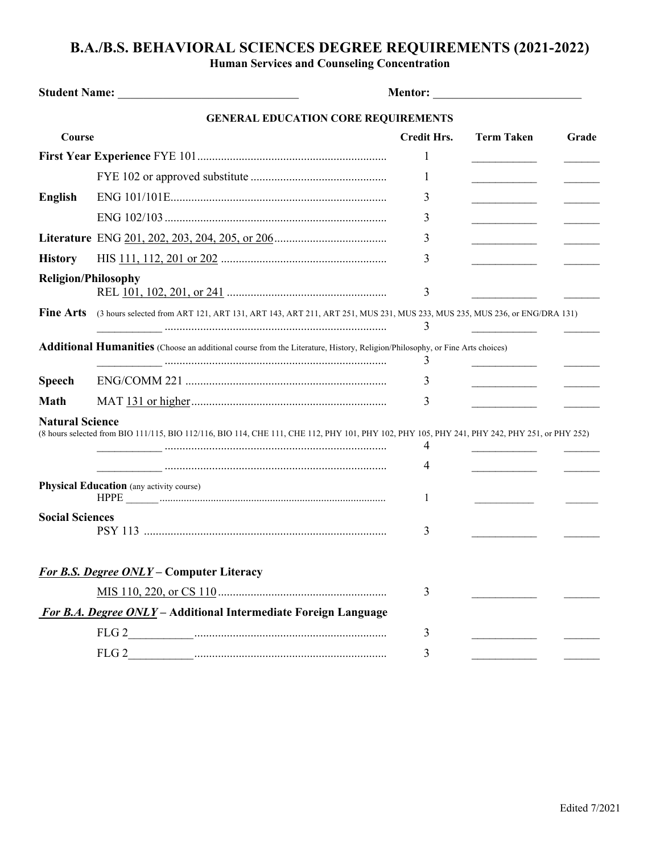## **B.A./B.S. BEHAVIORAL SCIENCES DEGREE REQUIREMENTS (2021-2022)**

**Human Services and Counseling Concentration**

|                            | <b>GENERAL EDUCATION CORE REQUIREMENTS</b>                                                                                                    |                    |                                              |       |
|----------------------------|-----------------------------------------------------------------------------------------------------------------------------------------------|--------------------|----------------------------------------------|-------|
| Course                     |                                                                                                                                               | <b>Credit Hrs.</b> | <b>Term Taken</b>                            | Grade |
|                            |                                                                                                                                               | 1                  |                                              |       |
|                            |                                                                                                                                               | 1                  | ___________________                          |       |
| <b>English</b>             |                                                                                                                                               | 3                  |                                              |       |
|                            |                                                                                                                                               | 3                  | and the control of the control of the        |       |
|                            |                                                                                                                                               | 3                  | the control of the control of the control of |       |
| <b>History</b>             |                                                                                                                                               | 3                  |                                              |       |
| <b>Religion/Philosophy</b> |                                                                                                                                               | 3                  |                                              |       |
| <b>Fine Arts</b>           | (3 hours selected from ART 121, ART 131, ART 143, ART 211, ART 251, MUS 231, MUS 233, MUS 235, MUS 236, or ENG/DRA 131)                       | 3                  |                                              |       |
|                            | Additional Humanities (Choose an additional course from the Literature, History, Religion/Philosophy, or Fine Arts choices)                   | 3                  |                                              |       |
| <b>Speech</b>              |                                                                                                                                               | 3                  |                                              |       |
| <b>Math</b>                |                                                                                                                                               | 3                  |                                              |       |
| <b>Natural Science</b>     | (8 hours selected from BIO 111/115, BIO 112/116, BIO 114, CHE 111, CHE 112, PHY 101, PHY 102, PHY 105, PHY 241, PHY 242, PHY 251, or PHY 252) | 4                  |                                              |       |
|                            |                                                                                                                                               | 4                  |                                              |       |
|                            | <b>Physical Education</b> (any activity course)                                                                                               | 1                  |                                              |       |
| <b>Social Sciences</b>     |                                                                                                                                               | 3                  |                                              |       |
|                            | For B.S. Degree ONLY - Computer Literacy                                                                                                      |                    |                                              |       |
|                            |                                                                                                                                               | 3                  |                                              |       |
|                            | For B.A. Degree ONLY - Additional Intermediate Foreign Language                                                                               |                    |                                              |       |
|                            |                                                                                                                                               | 3                  |                                              |       |
|                            |                                                                                                                                               | 3                  |                                              |       |